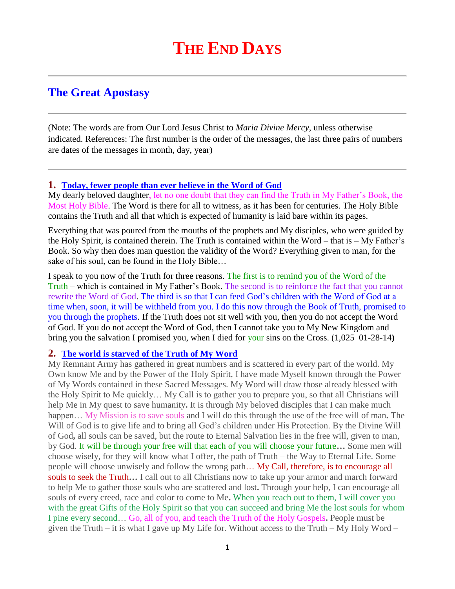# **The Great Apostasy**

(Note: The words are from Our Lord Jesus Christ to *Maria Divine Mercy*, unless otherwise indicated. References: The first number is the order of the messages, the last three pairs of numbers are dates of the messages in month, day, year)

#### **1. [Today, fewer people than ever believe in the Word of God](http://www.thewarningsecondcoming.com/today-fewer-people-than-ever-believe-in-the-word-of-god/)**

My dearly beloved daughter, let no one doubt that they can find the Truth in My Father's Book, the Most Holy Bible. The Word is there for all to witness, as it has been for centuries. The Holy Bible contains the Truth and all that which is expected of humanity is laid bare within its pages.

Everything that was poured from the mouths of the prophets and My disciples, who were guided by the Holy Spirit, is contained therein. The Truth is contained within the Word – that is – My Father's Book. So why then does man question the validity of the Word? Everything given to man, for the sake of his soul, can be found in the Holy Bible…

I speak to you now of the Truth for three reasons. The first is to remind you of the Word of the Truth – which is contained in My Father's Book. The second is to reinforce the fact that you cannot rewrite the Word of God. The third is so that I can feed God's children with the Word of God at a time when, soon, it will be withheld from you. I do this now through the Book of Truth, promised to you through the prophets. If the Truth does not sit well with you, then you do not accept the Word of God. If you do not accept the Word of God, then I cannot take you to My New Kingdom and bring you the salvation I promised you, when I died for your sins on the Cross. (1,025 01-28-14**)** 

#### **2. [The world is starved of the Truth of My Word](http://www.thewarningsecondcoming.com/the-world-is-starved-of-the-truth-of-my-word/)**

My Remnant Army has gathered in great numbers and is scattered in every part of the world. My Own know Me and by the Power of the Holy Spirit, I have made Myself known through the Power of My Words contained in these Sacred Messages. My Word will draw those already blessed with the Holy Spirit to Me quickly… My Call is to gather you to prepare you, so that all Christians will help Me in My quest to save humanity**.** It is through My beloved disciples that I can make much happen… My Mission is to save souls and I will do this through the use of the free will of man**.** The Will of God is to give life and to bring all God's children under His Protection. By the Divine Will of God**,** all souls can be saved, but the route to Eternal Salvation lies in the free will, given to man, by God. It will be through your free will that each of you will choose your future**…** Some men will choose wisely, for they will know what I offer, the path of Truth – the Way to Eternal Life. Some people will choose unwisely and follow the wrong path... My Call, therefore, is to encourage all souls to seek the Truth**…** I call out to all Christians now to take up your armor and march forward to help Me to gather those souls who are scattered and lost**.** Through your help, I can encourage all souls of every creed, race and color to come to Me**.** When you reach out to them, I will cover you with the great Gifts of the Holy Spirit so that you can succeed and bring Me the lost souls for whom I pine every second… Go, all of you, and teach the Truth of the Holy Gospels**.** People must be given the Truth – it is what I gave up My Life for. Without access to the Truth – My Holy Word –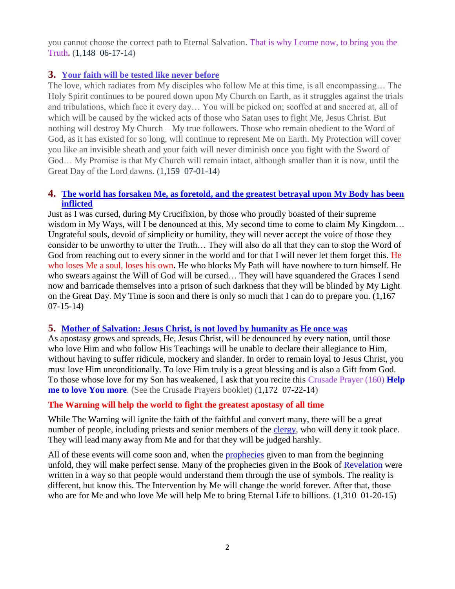you cannot choose the correct path to Eternal Salvation. That is why I come now, to bring you the Truth**.** (1,148 06-17-14)

# **3. [Your faith will be tested like never before](http://www.thewarningsecondcoming.com/your-faith-will-be-tested-like-never-before/)**

The love, which radiates from My disciples who follow Me at this time, is all encompassing… The Holy Spirit continues to be poured down upon My Church on Earth, as it struggles against the trials and tribulations, which face it every day… You will be picked on; scoffed at and sneered at, all of which will be caused by the wicked acts of those who Satan uses to fight Me, Jesus Christ. But nothing will destroy My Church – My true followers. Those who remain obedient to the Word of God, as it has existed for so long, will continue to represent Me on Earth. My Protection will cover you like an invisible sheath and your faith will never diminish once you fight with the Sword of God… My Promise is that My Church will remain intact, although smaller than it is now, until the Great Day of the Lord dawns. (1,159 07-01-14)

# **4. [The world has forsaken Me, as foretold, and the greatest betrayal upon My Body has been](http://www.thewarningsecondcoming.com/the-world-has-forsaken-me-as-foretold-and-the-greatest-betrayal-upon-my-body-has-been-inflicted/)  [inflicted](http://www.thewarningsecondcoming.com/the-world-has-forsaken-me-as-foretold-and-the-greatest-betrayal-upon-my-body-has-been-inflicted/)**

Just as I was cursed, during My Crucifixion, by those who proudly boasted of their supreme wisdom in My Ways, will I be denounced at this, My second time to come to claim My Kingdom... Ungrateful souls, devoid of simplicity or humility, they will never accept the voice of those they consider to be unworthy to utter the Truth… They will also do all that they can to stop the Word of God from reaching out to every sinner in the world and for that I will never let them forget this. He who loses Me a soul, loses his own**.** He who blocks My Path will have nowhere to turn himself. He who swears against the Will of God will be cursed… They will have squandered the Graces I send now and barricade themselves into a prison of such darkness that they will be blinded by My Light on the Great Day. My Time is soon and there is only so much that I can do to prepare you. (1,167 07-15-14)

# **5. [Mother of Salvation: Jesus Christ, is not loved by humanity as He once was](http://www.thewarningsecondcoming.com/mother-of-salvation-jesus-christ-is-not-loved-by-humanity-as-he-once-was/)**

As apostasy grows and spreads, He, Jesus Christ, will be denounced by every nation, until those who love Him and who follow His Teachings will be unable to declare their allegiance to Him, without having to suffer ridicule, mockery and slander. In order to remain loyal to Jesus Christ, you must love Him unconditionally. To love Him truly is a great blessing and is also a Gift from God. To those whose love for my Son has weakened, I ask that you recite this Crusade Prayer (160) **Help me to love You more**. (See the Crusade Prayers booklet) (1,172 07-22-14)

# **[The Warning will help the world to fight the greatest apostasy of all time](http://www.thewarningsecondcoming.com/the-warning-will-help-the-world-to-fight-the-greatest-apostasy-of-all-time/)**

While The Warning will ignite the faith of the faithful and convert many, there will be a great number of people, including priests and senior members of the [clergy,](http://www.enddays.net/the-warning-will-help-the-world-to-fight-the-greatest-apostasy-of-all-time/) who will deny it took place. They will lead many away from Me and for that they will be judged harshly.

All of these events will come soon and, when the [prophecies](http://www.enddays.net/the-warning-will-help-the-world-to-fight-the-greatest-apostasy-of-all-time/) given to man from the beginning unfold, they will make perfect sense. Many of the prophecies given in the Book of [Revelation](http://www.enddays.net/the-warning-will-help-the-world-to-fight-the-greatest-apostasy-of-all-time/) were written in a way so that people would understand them through the use of symbols. The reality is different, but know this. The Intervention by Me will change the world forever. After that, those who are for Me and who love Me will help Me to bring Eternal Life to billions. (1,310 01-20-15)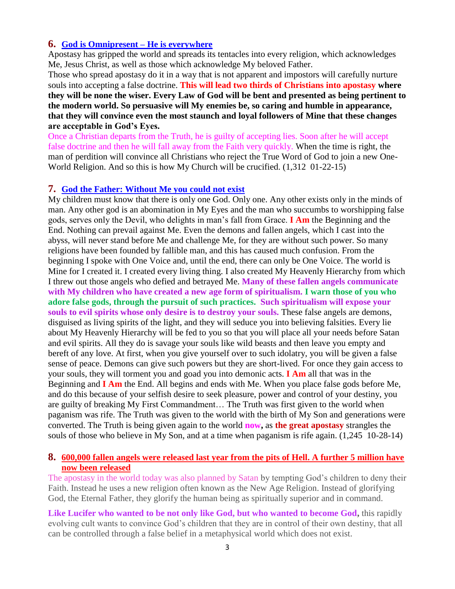#### **6. [God is Omnipresent –](http://www.thewarningsecondcoming.com/god-is-omnipresent-he-is-everywhere/) He is everywhere**

Apostasy has gripped the world and spreads its tentacles into every religion, which acknowledges Me, Jesus Christ, as well as those which acknowledge My beloved Father.

Those who spread apostasy do it in a way that is not apparent and impostors will carefully nurture souls into accepting a false [doctrine.](http://www.thewarningsecondcoming.com/god-is-omnipresent-he-is-everywhere/) **This will lead two thirds of Christians into apostasy where they will be none the wiser. Every Law of God will be bent and presented as being pertinent to the modern world. So persuasive will My enemies be, so caring and humble in appearance, that they will convince even the most staunch and loyal followers of Mine that these changes are acceptable in God's Eyes.**

Once a Christian departs from the Truth, he is guilty of accepting lies. Soon after he will accept false doctrine and then he will fall away from the Faith very quickly. When the time is right, the man of perdition will convince all Christians who reject the True Word of God to join a new One-World Religion. And so this is how My Church will be crucified. (1,312 01-22-15)

#### **7. [God the Father: Without Me you could not exist](http://www.thewarningsecondcoming.com/god-the-father-without-me-you-could-not-exist/)**

My children must know that there is only one God. Only one. Any other exists only in the minds of man. Any other god is an abomination in My Eyes and the man who succumbs to worshipping false gods, serves only the Devil, who delights in man's fall from Grace. **I Am** the Beginning and the End. Nothing can prevail against Me. Even the demons and fallen angels, which I cast into the abyss, will never stand before Me and challenge Me, for they are without such power. So many religions have been founded by fallible man, and this has caused much confusion. From the beginning I spoke with One Voice and, until the end, there can only be One Voice. The world is Mine for I created it. I created every living thing. I also created My Heavenly Hierarchy from which I threw out those angels who defied and betrayed Me. **Many of these fallen angels communicate with My children who have created a new age form of spiritualism. I warn those of you who adore false gods, through the pursuit of such practices. Such spiritualism will expose your souls to evil spirits whose only desire is to destroy your souls.** These false angels are demons, disguised as living spirits of the light, and they will seduce you into believing falsities. Every lie about My Heavenly Hierarchy will be fed to you so that you will place all your needs before Satan and evil spirits. All they do is savage your souls like wild beasts and then leave you empty and bereft of any love. At first, when you give yourself over to such idolatry, you will be given a false sense of peace. Demons can give such powers but they are short-lived. For once they gain access to your souls, they will torment you and goad you into demonic acts. **I Am** all that was in the Beginning and **I Am** the End. All begins and ends with Me. When you place false gods before Me, and do this because of your selfish desire to seek pleasure, power and control of your destiny, you are guilty of breaking My First Commandment… The Truth was first given to the world when paganism was rife. The Truth was given to the world with the birth of My Son and generations were converted. The Truth is being given again to the world **now,** as **the great apostasy** strangles the souls of those who believe in My Son, and at a time when paganism is rife again. (1,245 10-28-14)

#### **8. [600,000 fallen angels were released last year from the pits of Hell. A further 5 million have](http://www.thewarningsecondcoming.com/600000-fallen-angels-were-released-last-year-from-the-pits-of-hell-a-further-5-million-have-now-been-released/)  [now been released](http://www.thewarningsecondcoming.com/600000-fallen-angels-were-released-last-year-from-the-pits-of-hell-a-further-5-million-have-now-been-released/)**

The apostasy in the world today was also planned by Satan by tempting God's children to deny their Faith. Instead he uses a new religion often known as the New Age Religion. Instead of glorifying God, the Eternal Father, they glorify the human being as spiritually superior and in command.

**Like Lucifer who wanted to be not only like God, but who wanted to become God,** this rapidly evolving cult wants to convince God's children that they are in control of their own destiny, that all can be controlled through a false belief in a metaphysical world which does not exist.